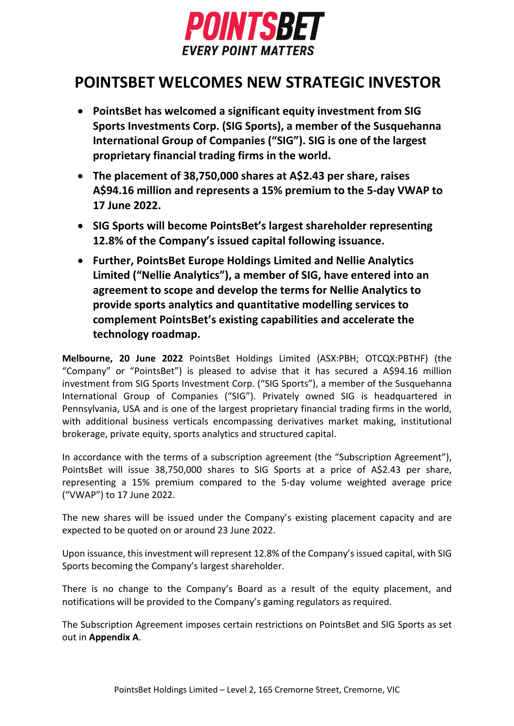

# **POINTSBET WELCOMES NEW STRATEGIC INVESTOR**

- **PointsBet has welcomed a significant equity investment from SIG Sports Investments Corp. (SIG Sports), a member of the Susquehanna International Group of Companies ("SIG"). SIG is one of the largest proprietary financial trading firms in the world.**
- **The placement of 38,750,000 shares at A\$2.43 per share, raises A\$94.16 million and represents a 15% premium to the 5-day VWAP to 17 June 2022.**
- **SIG Sports will become PointsBet's largest shareholder representing 12.8% of the Company's issued capital following issuance.**
- **Further, PointsBet Europe Holdings Limited and Nellie Analytics Limited ("Nellie Analytics"), a member of SIG, have entered into an agreement to scope and develop the terms for Nellie Analytics to provide sports analytics and quantitative modelling services to complement PointsBet's existing capabilities and accelerate the technology roadmap.**

**Melbourne, 20 June 2022** PointsBet Holdings Limited (ASX:PBH; OTCQX:PBTHF) (the "Company" or "PointsBet") is pleased to advise that it has secured a A\$94.16 million investment from SIG Sports Investment Corp. ("SIG Sports"), a member of the Susquehanna International Group of Companies ("SIG"). Privately owned SIG is headquartered in Pennsylvania, USA and is one of the largest proprietary financial trading firms in the world, with additional business verticals encompassing derivatives market making, institutional brokerage, private equity, sports analytics and structured capital.

In accordance with the terms of a subscription agreement (the "Subscription Agreement"), PointsBet will issue 38,750,000 shares to SIG Sports at a price of A\$2.43 per share, representing a 15% premium compared to the 5-day volume weighted average price ("VWAP") to 17 June 2022.

The new shares will be issued under the Company's existing placement capacity and are expected to be quoted on or around 23 June 2022.

Upon issuance, this investment will represent 12.8% of the Company's issued capital, with SIG Sports becoming the Company's largest shareholder.

There is no change to the Company's Board as a result of the equity placement, and notifications will be provided to the Company's gaming regulators as required.

The Subscription Agreement imposes certain restrictions on PointsBet and SIG Sports as set out in **Appendix A**.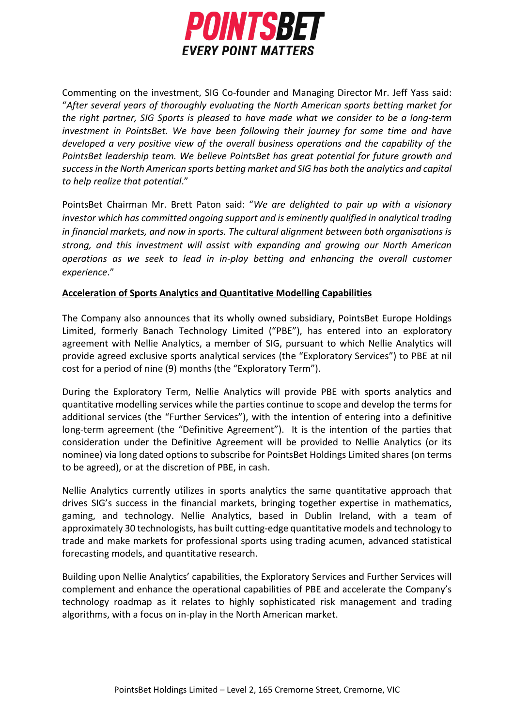

Commenting on the investment, SIG Co-founder and Managing Director Mr. Jeff Yass said: "*After several years of thoroughly evaluating the North American sports betting market for the right partner, SIG Sports is pleased to have made what we consider to be a long-term investment in PointsBet. We have been following their journey for some time and have developed a very positive view of the overall business operations and the capability of the PointsBet leadership team. We believe PointsBet has great potential for future growth and success in the North American sports betting market and SIG has both the analytics and capital to help realize that potential*."

PointsBet Chairman Mr. Brett Paton said: "*We are delighted to pair up with a visionary investor which has committed ongoing support and is eminently qualified in analytical trading in financial markets, and now in sports. The cultural alignment between both organisations is strong, and this investment will assist with expanding and growing our North American operations as we seek to lead in in-play betting and enhancing the overall customer experience*."

# **Acceleration of Sports Analytics and Quantitative Modelling Capabilities**

The Company also announces that its wholly owned subsidiary, PointsBet Europe Holdings Limited, formerly Banach Technology Limited ("PBE"), has entered into an exploratory agreement with Nellie Analytics, a member of SIG, pursuant to which Nellie Analytics will provide agreed exclusive sports analytical services (the "Exploratory Services") to PBE at nil cost for a period of nine (9) months (the "Exploratory Term").

During the Exploratory Term, Nellie Analytics will provide PBE with sports analytics and quantitative modelling services while the parties continue to scope and develop the terms for additional services (the "Further Services"), with the intention of entering into a definitive long-term agreement (the "Definitive Agreement"). It is the intention of the parties that consideration under the Definitive Agreement will be provided to Nellie Analytics (or its nominee) via long dated options to subscribe for PointsBet Holdings Limited shares (on terms to be agreed), or at the discretion of PBE, in cash.

Nellie Analytics currently utilizes in sports analytics the same quantitative approach that drives SIG's success in the financial markets, bringing together expertise in mathematics, gaming, and technology. Nellie Analytics, based in Dublin Ireland, with a team of approximately 30 technologists, has built cutting-edge quantitative models and technology to trade and make markets for professional sports using trading acumen, advanced statistical forecasting models, and quantitative research.

Building upon Nellie Analytics' capabilities, the Exploratory Services and Further Services will complement and enhance the operational capabilities of PBE and accelerate the Company's technology roadmap as it relates to highly sophisticated risk management and trading algorithms, with a focus on in-play in the North American market.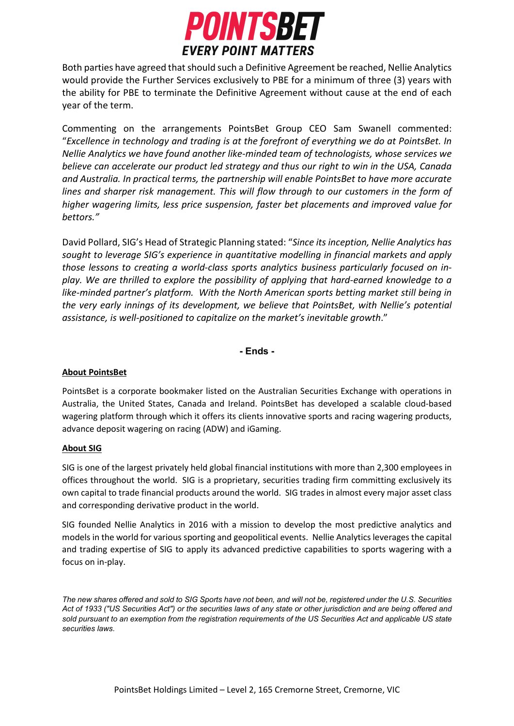

Both parties have agreed that should such a Definitive Agreement be reached, Nellie Analytics would provide the Further Services exclusively to PBE for a minimum of three (3) years with the ability for PBE to terminate the Definitive Agreement without cause at the end of each year of the term.

Commenting on the arrangements PointsBet Group CEO Sam Swanell commented: "*Excellence in technology and trading is at the forefront of everything we do at PointsBet. In Nellie Analytics we have found another like-minded team of technologists, whose services we believe can accelerate our product led strategy and thus our right to win in the USA, Canada and Australia. In practical terms, the partnership will enable PointsBet to have more accurate lines and sharper risk management. This will flow through to our customers in the form of higher wagering limits, less price suspension, faster bet placements and improved value for bettors."*

David Pollard, SIG's Head of Strategic Planning stated: "*Since its inception, Nellie Analytics has sought to leverage SIG's experience in quantitative modelling in financial markets and apply those lessons to creating a world-class sports analytics business particularly focused on inplay. We are thrilled to explore the possibility of applying that hard-earned knowledge to a like-minded partner's platform. With the North American sports betting market still being in the very early innings of its development, we believe that PointsBet, with Nellie's potential assistance, is well-positioned to capitalize on the market's inevitable growth*."

# **- Ends -**

# **About PointsBet**

PointsBet is a corporate bookmaker listed on the Australian Securities Exchange with operations in Australia, the United States, Canada and Ireland. PointsBet has developed a scalable cloud-based wagering platform through which it offers its clients innovative sports and racing wagering products, advance deposit wagering on racing (ADW) and iGaming.

#### **About SIG**

SIG is one of the largest privately held global financial institutions with more than 2,300 employees in offices throughout the world. SIG is a proprietary, securities trading firm committing exclusively its own capital to trade financial products around the world. SIG trades in almost every major asset class and corresponding derivative product in the world.

SIG founded Nellie Analytics in 2016 with a mission to develop the most predictive analytics and models in the world for various sporting and geopolitical events. Nellie Analytics leverages the capital and trading expertise of SIG to apply its advanced predictive capabilities to sports wagering with a focus on in-play.

*The new shares offered and sold to SIG Sports have not been, and will not be, registered under the U.S. Securities Act of 1933 ("US Securities Act") or the securities laws of any state or other jurisdiction and are being offered and sold pursuant to an exemption from the registration requirements of the US Securities Act and applicable US state securities laws.*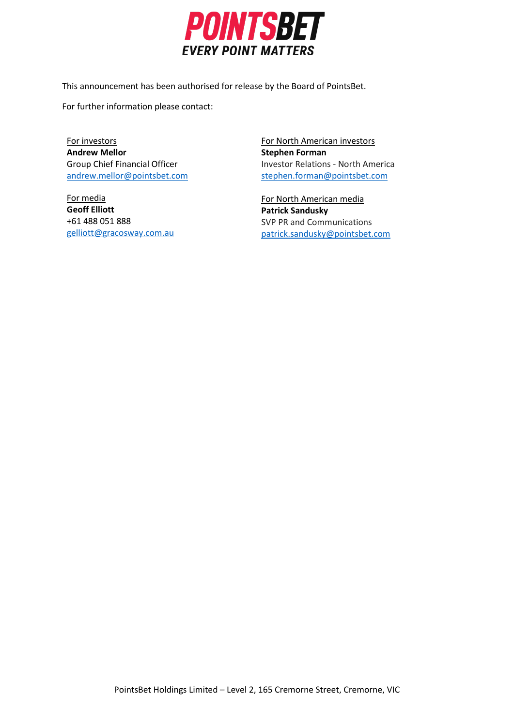

This announcement has been authorised for release by the Board of PointsBet.

For further information please contact:

For investors **Andrew Mellor** Group Chief Financial Officer [andrew.mellor@pointsbet.com](mailto:andrew.mellor@pointsbet.com)

For media **Geoff Elliott**  +61 488 051 888 [gelliott@gracosway.com.au](mailto:gelliott@gracosway.com.au)

For North American investors **Stephen Forman**  Investor Relations - North America [stephen.forman@pointsbet.com](mailto:stephen.forman@pointsbet.com)

For North American media **Patrick Sandusky** SVP PR and Communications patrick.sandusky@pointsbet.com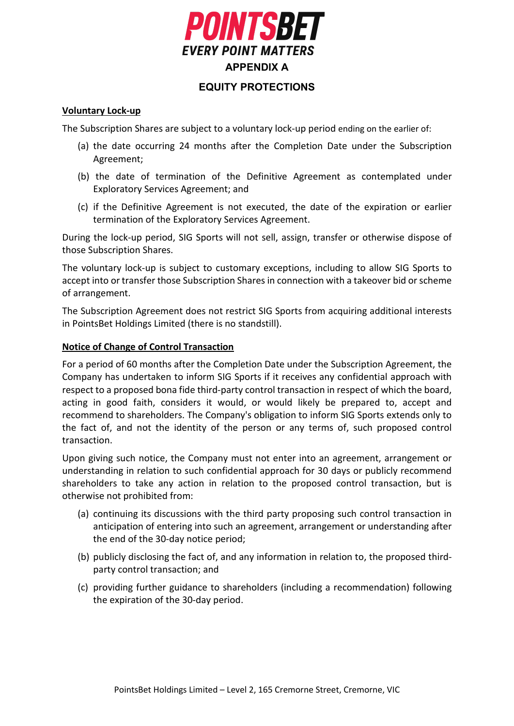

# **EQUITY PROTECTIONS**

### **Voluntary Lock-up**

The Subscription Shares are subject to a voluntary lock-up period ending on the earlier of:

- (a) the date occurring 24 months after the Completion Date under the Subscription Agreement;
- (b) the date of termination of the Definitive Agreement as contemplated under Exploratory Services Agreement; and
- (c) if the Definitive Agreement is not executed, the date of the expiration or earlier termination of the Exploratory Services Agreement.

During the lock-up period, SIG Sports will not sell, assign, transfer or otherwise dispose of those Subscription Shares.

The voluntary lock-up is subject to customary exceptions, including to allow SIG Sports to accept into or transfer those Subscription Shares in connection with a takeover bid or scheme of arrangement.

The Subscription Agreement does not restrict SIG Sports from acquiring additional interests in PointsBet Holdings Limited (there is no standstill).

# **Notice of Change of Control Transaction**

For a period of 60 months after the Completion Date under the Subscription Agreement, the Company has undertaken to inform SIG Sports if it receives any confidential approach with respect to a proposed bona fide third-party control transaction in respect of which the board, acting in good faith, considers it would, or would likely be prepared to, accept and recommend to shareholders. The Company's obligation to inform SIG Sports extends only to the fact of, and not the identity of the person or any terms of, such proposed control transaction.

Upon giving such notice, the Company must not enter into an agreement, arrangement or understanding in relation to such confidential approach for 30 days or publicly recommend shareholders to take any action in relation to the proposed control transaction, but is otherwise not prohibited from:

- (a) continuing its discussions with the third party proposing such control transaction in anticipation of entering into such an agreement, arrangement or understanding after the end of the 30-day notice period;
- (b) publicly disclosing the fact of, and any information in relation to, the proposed thirdparty control transaction; and
- (c) providing further guidance to shareholders (including a recommendation) following the expiration of the 30-day period.